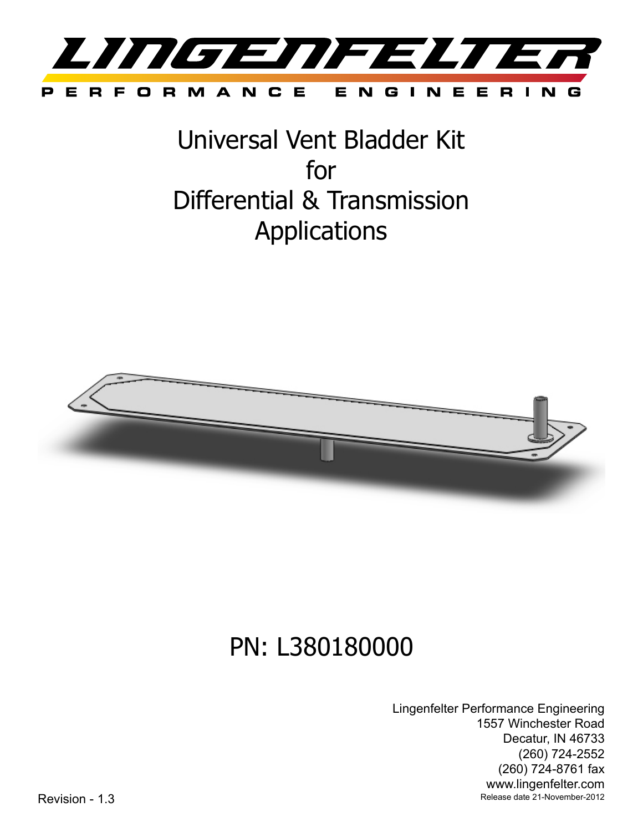

Universal Vent Bladder Kit for Differential & Transmission Applications



# PN: L380180000

Lingenfelter Performance Engineering 1557 Winchester Road Decatur, IN 46733 (260) 724-2552 (260) 724-8761 fax www.lingenfelter.com Revision - 1.3 Release date 21-November-2012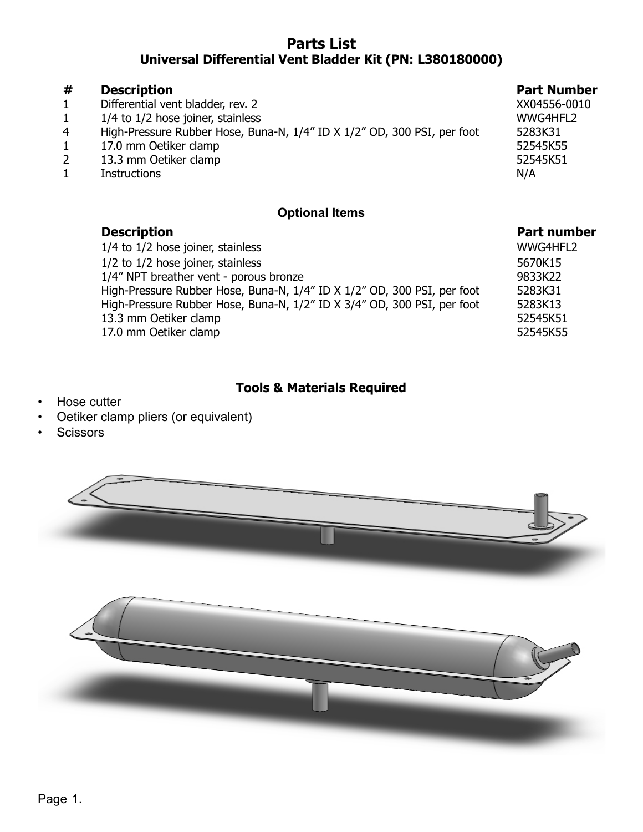# **Parts List Universal Differential Vent Bladder Kit (PN: L380180000)**

#### **# Description Part Number** 1 Differential vent bladder, rev. 2 XX04556-0010 1 1/4 to 1/2 hose joiner, stainless and the state of the state www. WWG4HFL2 4 High-Pressure Rubber Hose, Buna-N, 1/4" ID X 1/2" OD, 300 PSI, per foot 5283K31<br>1 17.0 mm Oetiker clamp 17.0 mm Oetiker clamp 52545K55 2 13.3 mm Oetiker clamp 12 13.3 mm Oetiker clamp 1 Instructions N/A

#### **Optional Items**

| WWG4HFL2 |
|----------|
|          |
| 5670K15  |
| 9833K22  |
| 5283K31  |
| 5283K13  |
| 52545K51 |
| 52545K55 |
|          |

## **Tools & Materials Required**

- Hose cutter
- Oetiker clamp pliers (or equivalent)
- **Scissors**

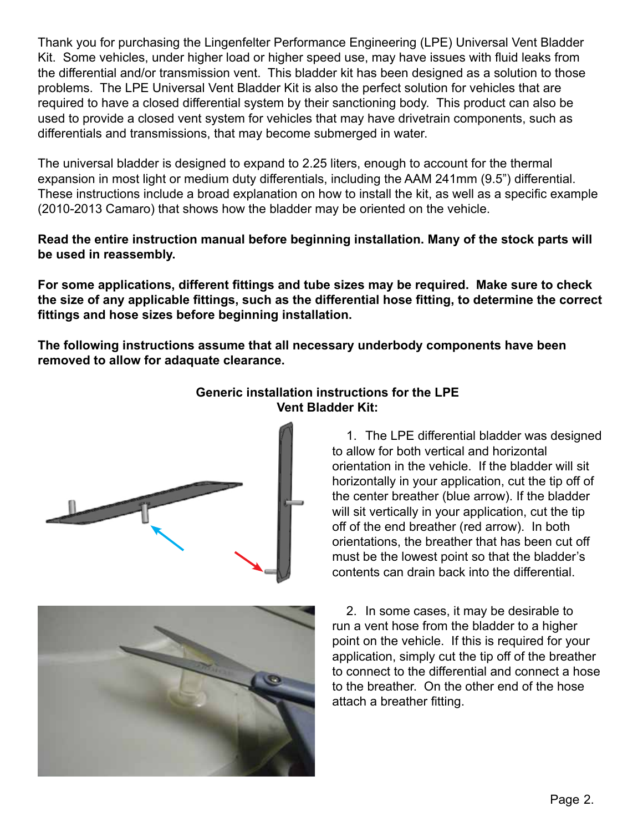Thank you for purchasing the Lingenfelter Performance Engineering (LPE) Universal Vent Bladder Kit. Some vehicles, under higher load or higher speed use, may have issues with fluid leaks from the differential and/or transmission vent. This bladder kit has been designed as a solution to those problems. The LPE Universal Vent Bladder Kit is also the perfect solution for vehicles that are required to have a closed differential system by their sanctioning body. This product can also be used to provide a closed vent system for vehicles that may have drivetrain components, such as differentials and transmissions, that may become submerged in water.

The universal bladder is designed to expand to 2.25 liters, enough to account for the thermal expansion in most light or medium duty differentials, including the AAM 241mm (9.5") differential. These instructions include a broad explanation on how to install the kit, as well as a specific example (2010-2013 Camaro) that shows how the bladder may be oriented on the vehicle.

#### **Read the entire instruction manual before beginning installation. Many of the stock parts will be used in reassembly.**

**For some applications, different fittings and tube sizes may be required. Make sure to check the size of any applicable fittings, such as the differential hose fitting, to determine the correct fittings and hose sizes before beginning installation.**

**The following instructions assume that all necessary underbody components have been removed to allow for adaquate clearance.**





# **Generic installation instructions for the LPE Vent Bladder Kit:**

1. The LPE differential bladder was designed to allow for both vertical and horizontal orientation in the vehicle. If the bladder will sit horizontally in your application, cut the tip off of the center breather (blue arrow). If the bladder will sit vertically in your application, cut the tip off of the end breather (red arrow). In both orientations, the breather that has been cut off must be the lowest point so that the bladder's contents can drain back into the differential.

2. In some cases, it may be desirable to run a vent hose from the bladder to a higher point on the vehicle. If this is required for your application, simply cut the tip off of the breather to connect to the differential and connect a hose to the breather. On the other end of the hose attach a breather fitting.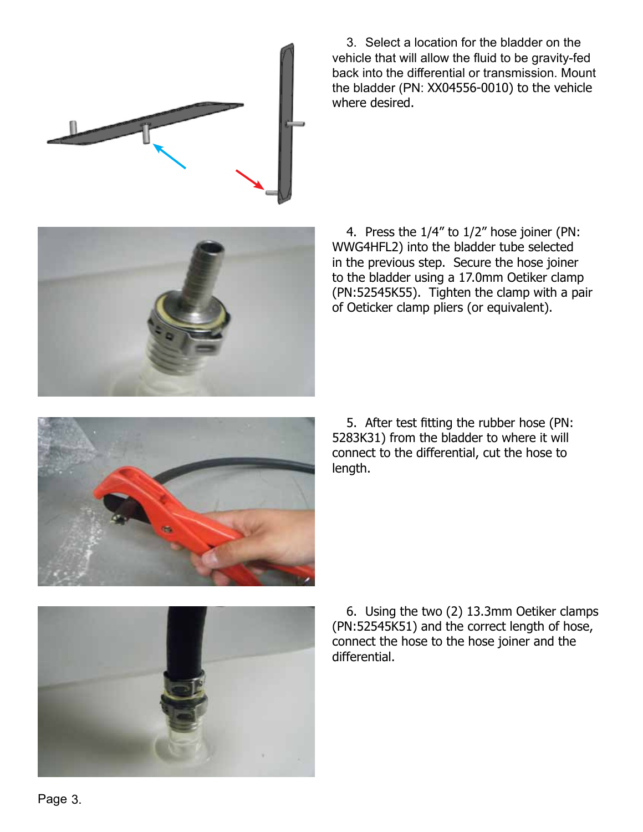

3. Select a location for the bladder on the vehicle that will allow the fluid to be gravity-fed back into the differential or transmission. Mount the bladder (PN: XX04556-0010) to the vehicle where desired.





5. After test fitting the rubber hose (PN: 5283K31) from the bladder to where it will connect to the differential, cut the hose to length.



6. Using the two (2) 13.3mm Oetiker clamps (PN:52545K51) and the correct length of hose, connect the hose to the hose joiner and the differential.

Page 3.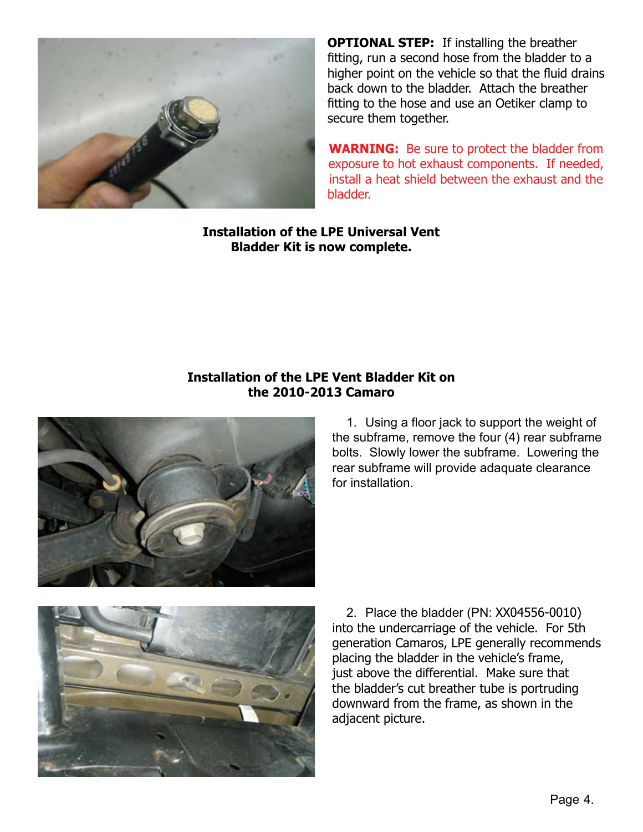

**OPTIONAL STEP:** If installing the breather fitting, run a second hose from the bladder to a higher point on the vehicle so that the fluid drains back down to the bladder. Attach the breather fitting to the hose and use an Oetiker clamp to secure them together.

**WARNING:** Be sure to protect the bladder from exposure to hot exhaust components. If needed, install a heat shield between the exhaust and the bladder.

**Installation of the LPE Universal Vent Bladder Kit is now complete.**

## **Installation of the LPE Vent Bladder Kit on the 2010-2013 Camaro**



1. Using a floor jack to support the weight of the subframe, remove the four (4) rear subframe bolts. Slowly lower the subframe. Lowering the rear subframe will provide adaquate clearance for installation.



2. Place the bladder (PN: XX04556-0010) into the undercarriage of the vehicle. For 5th generation Camaros, LPE generally recommends placing the bladder in the vehicle's frame, just above the differential. Make sure that the bladder's cut breather tube is portruding downward from the frame, as shown in the adjacent picture.